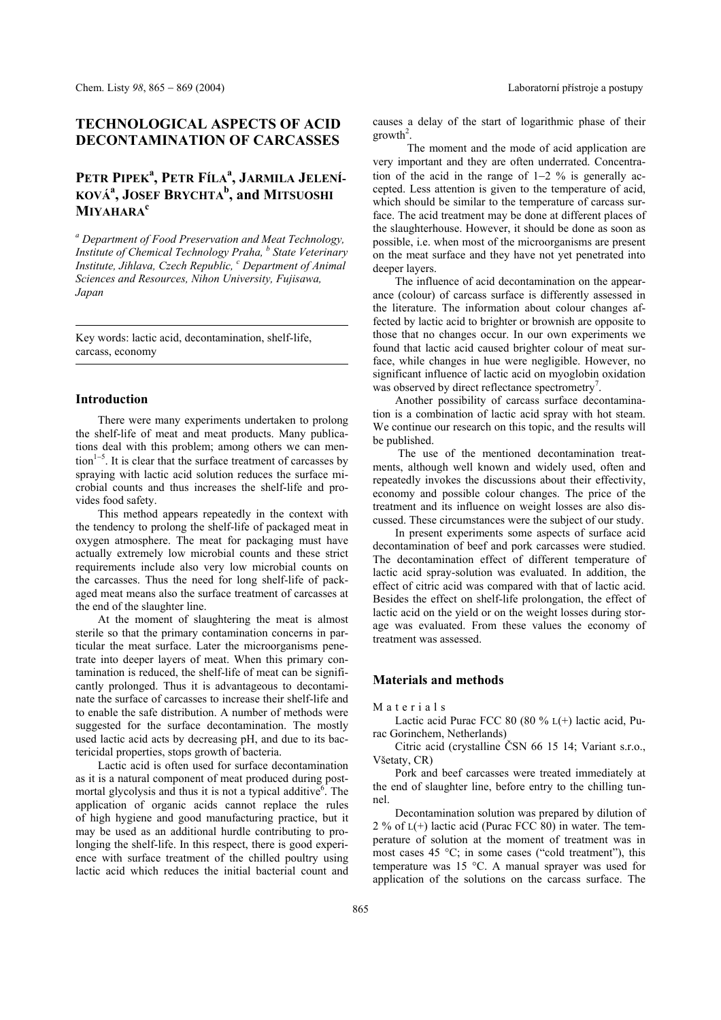## **TECHNOLOGICAL ASPECTS OF ACID DECONTAMINATION OF CARCASSES**

# Petr Pipek<sup>a</sup>, Petr Fíla<sup>a</sup>, Jarmila Jelení-**KOV£<sup>a</sup> , JOSEF BRYCHTA<sup>b</sup> , and MITSUOSHI MIYAHARA<sup>c</sup>**

*a Department of Food Preservation and Meat Technology, Institute of Chemical Technology Praha, b State Veterinary*  Institute, Jihlava, Czech Republic, <sup>c</sup> Department of Animal *Sciences and Resources, Nihon University, Fujisawa, Japan* 

Key words: lactic acid, decontamination, shelf-life, carcass, economy

## **Introduction**

There were many experiments undertaken to prolong the shelf-life of meat and meat products. Many publications deal with this problem; among others we can men- $\text{tion}^{1-5}$ . It is clear that the surface treatment of carcasses by spraying with lactic acid solution reduces the surface microbial counts and thus increases the shelf-life and provides food safety.

This method appears repeatedly in the context with the tendency to prolong the shelf-life of packaged meat in oxygen atmosphere. The meat for packaging must have actually extremely low microbial counts and these strict requirements include also very low microbial counts on the carcasses. Thus the need for long shelf-life of packaged meat means also the surface treatment of carcasses at the end of the slaughter line.

At the moment of slaughtering the meat is almost sterile so that the primary contamination concerns in particular the meat surface. Later the microorganisms penetrate into deeper layers of meat. When this primary contamination is reduced, the shelf-life of meat can be significantly prolonged. Thus it is advantageous to decontaminate the surface of carcasses to increase their shelf-life and to enable the safe distribution. A number of methods were suggested for the surface decontamination. The mostly used lactic acid acts by decreasing pH, and due to its bactericidal properties, stops growth of bacteria.

Lactic acid is often used for surface decontamination as it is a natural component of meat produced during postmortal glycolysis and thus it is not a typical additive<sup>6</sup>. The application of organic acids cannot replace the rules of high hygiene and good manufacturing practice, but it may be used as an additional hurdle contributing to prolonging the shelf-life. In this respect, there is good experience with surface treatment of the chilled poultry using lactic acid which reduces the initial bacterial count and causes a delay of the start of logarithmic phase of their  $growth<sup>2</sup>$ .

 The moment and the mode of acid application are very important and they are often underrated. Concentration of the acid in the range of 1−2 % is generally accepted. Less attention is given to the temperature of acid, which should be similar to the temperature of carcass surface. The acid treatment may be done at different places of the slaughterhouse. However, it should be done as soon as possible, i.e. when most of the microorganisms are present on the meat surface and they have not yet penetrated into deeper layers.

The influence of acid decontamination on the appearance (colour) of carcass surface is differently assessed in the literature. The information about colour changes affected by lactic acid to brighter or brownish are opposite to those that no changes occur. In our own experiments we found that lactic acid caused brighter colour of meat surface, while changes in hue were negligible. However, no significant influence of lactic acid on myoglobin oxidation was observed by direct reflectance spectrometry<sup>7</sup>.

Another possibility of carcass surface decontamination is a combination of lactic acid spray with hot steam. We continue our research on this topic, and the results will be published.

 The use of the mentioned decontamination treatments, although well known and widely used, often and repeatedly invokes the discussions about their effectivity, economy and possible colour changes. The price of the treatment and its influence on weight losses are also discussed. These circumstances were the subject of our study.

In present experiments some aspects of surface acid decontamination of beef and pork carcasses were studied. The decontamination effect of different temperature of lactic acid spray-solution was evaluated. In addition, the effect of citric acid was compared with that of lactic acid. Besides the effect on shelf-life prolongation, the effect of lactic acid on the yield or on the weight losses during storage was evaluated. From these values the economy of treatment was assessed.

### **Materials and methods**

#### Materials

Lactic acid Purac FCC 80 (80 % L(+) lactic acid, Purac Gorinchem, Netherlands)

Citric acid (crystalline ČSN 66 15 14; Variant s.r.o., Vöetaty, CR)

Pork and beef carcasses were treated immediately at the end of slaughter line, before entry to the chilling tunnel.

Decontamination solution was prepared by dilution of  $2\%$  of  $L(+)$  lactic acid (Purac FCC 80) in water. The temperature of solution at the moment of treatment was in most cases  $45^{\circ}$ C; in some cases ("cold treatment"), this temperature was 15 °C. A manual sprayer was used for application of the solutions on the carcass surface. The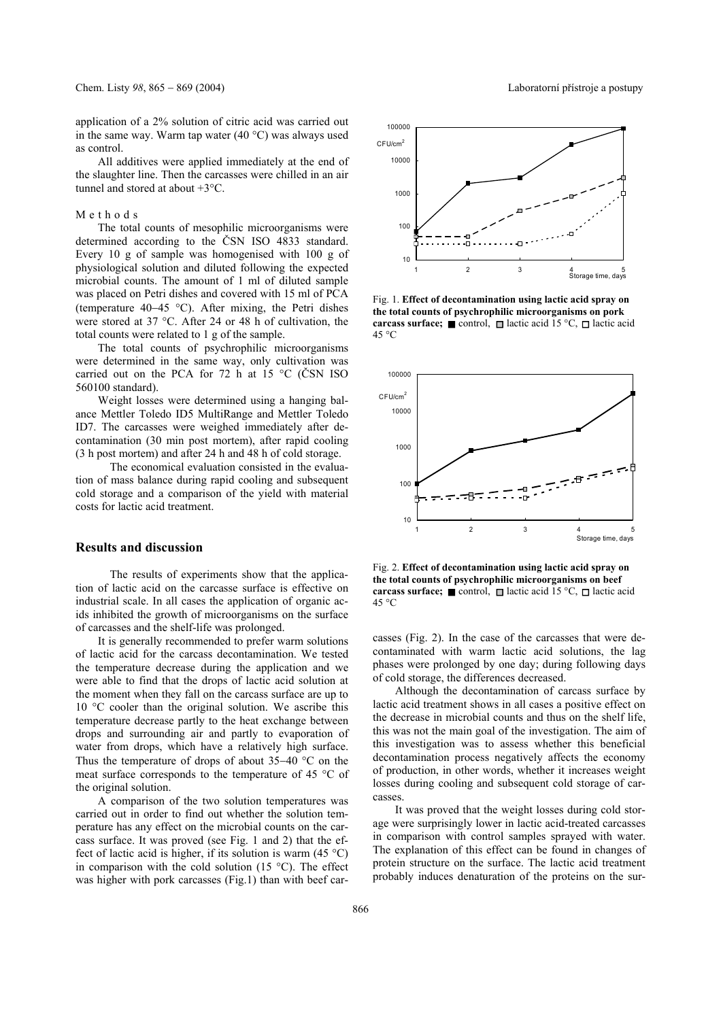application of a 2% solution of citric acid was carried out in the same way. Warm tap water (40 °C) was always used as control.

All additives were applied immediately at the end of the slaughter line. Then the carcasses were chilled in an air tunnel and stored at about +3°C.

#### Methods

The total counts of mesophilic microorganisms were determined according to the ČSN ISO 4833 standard. Every 10 g of sample was homogenised with 100 g of physiological solution and diluted following the expected microbial counts. The amount of 1 ml of diluted sample was placed on Petri dishes and covered with 15 ml of PCA (temperature 40−45 °C). After mixing, the Petri dishes were stored at 37 °C. After 24 or 48 h of cultivation, the total counts were related to 1 g of the sample.

The total counts of psychrophilic microorganisms were determined in the same way, only cultivation was carried out on the PCA for 72 h at 15 °C (ČSN ISO 560100 standard).

Weight losses were determined using a hanging balance Mettler Toledo ID5 MultiRange and Mettler Toledo ID7. The carcasses were weighed immediately after decontamination (30 min post mortem), after rapid cooling (3 h post mortem) and after 24 h and 48 h of cold storage.

 The economical evaluation consisted in the evaluation of mass balance during rapid cooling and subsequent cold storage and a comparison of the yield with material costs for lactic acid treatment.

## **Results and discussion**

 The results of experiments show that the application of lactic acid on the carcasse surface is effective on industrial scale. In all cases the application of organic acids inhibited the growth of microorganisms on the surface of carcasses and the shelf-life was prolonged.

It is generally recommended to prefer warm solutions of lactic acid for the carcass decontamination. We tested the temperature decrease during the application and we were able to find that the drops of lactic acid solution at the moment when they fall on the carcass surface are up to 10 °C cooler than the original solution. We ascribe this temperature decrease partly to the heat exchange between drops and surrounding air and partly to evaporation of water from drops, which have a relatively high surface. Thus the temperature of drops of about 35−40 °C on the meat surface corresponds to the temperature of 45 °C of the original solution.

A comparison of the two solution temperatures was carried out in order to find out whether the solution temperature has any effect on the microbial counts on the carcass surface. It was proved (see Fig. 1 and 2) that the effect of lactic acid is higher, if its solution is warm  $(45 \degree C)$ in comparison with the cold solution  $(15 \degree C)$ . The effect was higher with pork carcasses (Fig.1) than with beef car-



Fig. 1. **Effect of decontamination using lactic acid spray on the total counts of psychrophilic microorganisms on pork carcass surface;** control,  $\Box$  lactic acid 15 °C,  $\Box$  lactic acid 45 °C



Fig. 2. **Effect of decontamination using lactic acid spray on the total counts of psychrophilic microorganisms on beef carcass surface;** control,  $\Box$  lactic acid 15 °C,  $\Box$  lactic acid 45 °C

casses (Fig. 2). In the case of the carcasses that were decontaminated with warm lactic acid solutions, the lag phases were prolonged by one day; during following days of cold storage, the differences decreased.

Although the decontamination of carcass surface by lactic acid treatment shows in all cases a positive effect on the decrease in microbial counts and thus on the shelf life, this was not the main goal of the investigation. The aim of this investigation was to assess whether this beneficial decontamination process negatively affects the economy of production, in other words, whether it increases weight losses during cooling and subsequent cold storage of carcasses.

It was proved that the weight losses during cold storage were surprisingly lower in lactic acid-treated carcasses in comparison with control samples sprayed with water. The explanation of this effect can be found in changes of protein structure on the surface. The lactic acid treatment probably induces denaturation of the proteins on the sur-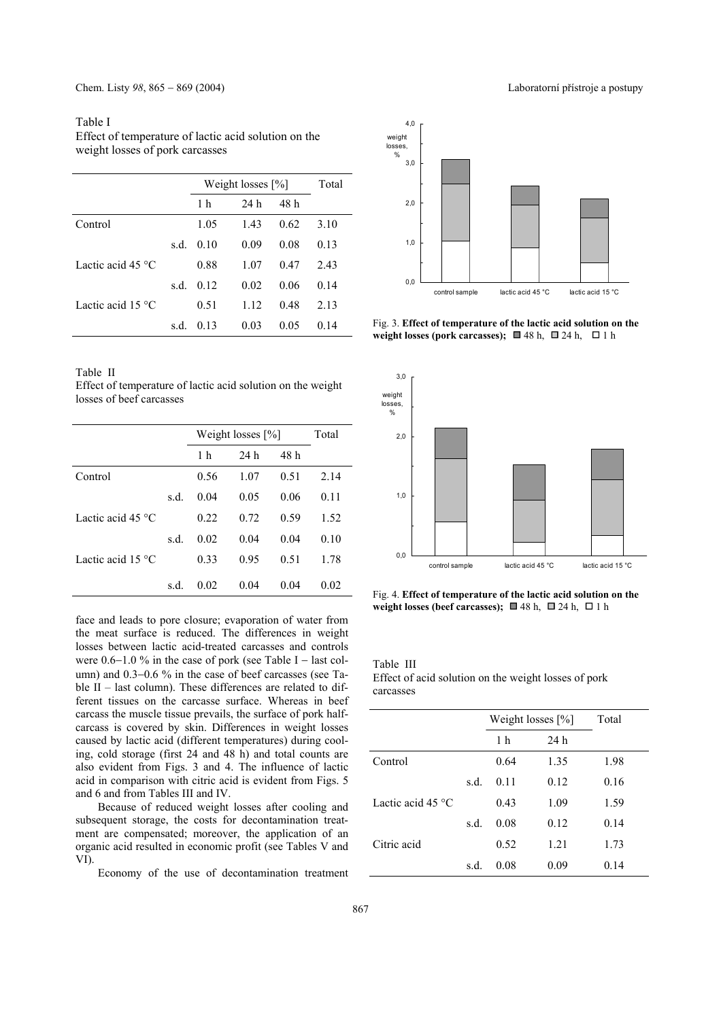#### Table I

Effect of temperature of lactic acid solution on the weight losses of pork carcasses

|                             |      | Weight losses $[\%]$ | Total |      |      |
|-----------------------------|------|----------------------|-------|------|------|
|                             |      | 1 h                  | 24 h  | 48 h |      |
| Control                     |      | 1.05                 | 1.43  | 0.62 | 3.10 |
|                             | s.d. | 010                  | 0.09  | 0.08 | 0.13 |
| Lactic acid 45 $\degree$ C  |      | 0.88                 | 1.07  | 0.47 | 2.43 |
|                             | s.d. | 012                  | 0.02  | 0.06 | 0.14 |
| Lactic acid 15 $^{\circ}$ C |      | 0.51                 | 1.12  | 0.48 | 2.13 |
|                             | s.d. | 0.13                 | 0.03  | 0.05 | 0.14 |

Table II

Effect of temperature of lactic acid solution on the weight losses of beef carcasses

|                            |      | Weight losses $[\%]$ | Total |      |      |
|----------------------------|------|----------------------|-------|------|------|
|                            |      | 1 h                  | 24 h  | 48 h |      |
| Control                    |      | 0.56                 | 1.07  | 0.51 | 2.14 |
|                            | s.d. | 0.04                 | 0.05  | 0.06 | 0.11 |
| Lactic acid 45 $\degree$ C |      | 0.22                 | 0.72  | 0.59 | 1.52 |
|                            | s.d. | 0.02                 | 0.04  | 0.04 | 0.10 |
| Lactic acid $15^{\circ}$ C |      | 0.33                 | 0.95  | 0.51 | 1.78 |
|                            | s.d. | 0.02                 | 0.04  | 0.04 | 0.02 |

face and leads to pore closure; evaporation of water from the meat surface is reduced. The differences in weight losses between lactic acid-treated carcasses and controls were  $0.6-1.0$  % in the case of pork (see Table I – last column) and 0.3−0.6 % in the case of beef carcasses (see Table  $II$  – last column). These differences are related to different tissues on the carcasse surface. Whereas in beef carcass the muscle tissue prevails, the surface of pork halfcarcass is covered by skin. Differences in weight losses caused by lactic acid (different temperatures) during cooling, cold storage (first 24 and 48 h) and total counts are also evident from Figs. 3 and 4. The influence of lactic acid in comparison with citric acid is evident from Figs. 5 and 6 and from Tables III and IV.

Because of reduced weight losses after cooling and subsequent storage, the costs for decontamination treatment are compensated; moreover, the application of an organic acid resulted in economic profit (see Tables V and VI).

Economy of the use of decontamination treatment



Fig. 3. **Effect of temperature of the lactic acid solution on the**  weight losses (pork carcasses);  $\Box$  48 h,  $\Box$  24 h,  $\Box$  1 h



Fig. 4. **Effect of temperature of the lactic acid solution on the**  weight losses (beef carcasses);  $\Box$  48 h,  $\Box$  24 h,  $\Box$  1 h

Table III Effect of acid solution on the weight losses of pork carcasses

|                            |      | Weight losses $[\%]$ | Total |      |
|----------------------------|------|----------------------|-------|------|
|                            |      | 1 <sub>h</sub>       | 24h   |      |
| Control                    |      | 0.64                 | 1.35  | 1.98 |
|                            | s.d. | 011                  | 0.12  | 0.16 |
| Lactic acid 45 $\degree$ C |      | 0.43                 | 1.09  | 1.59 |
|                            | s.d. | 0.08                 | 0.12  | 0.14 |
| Citric acid                |      | 0.52                 | 1.21  | 1.73 |
|                            | s.d. | 0.08                 | 0.09  | 0.14 |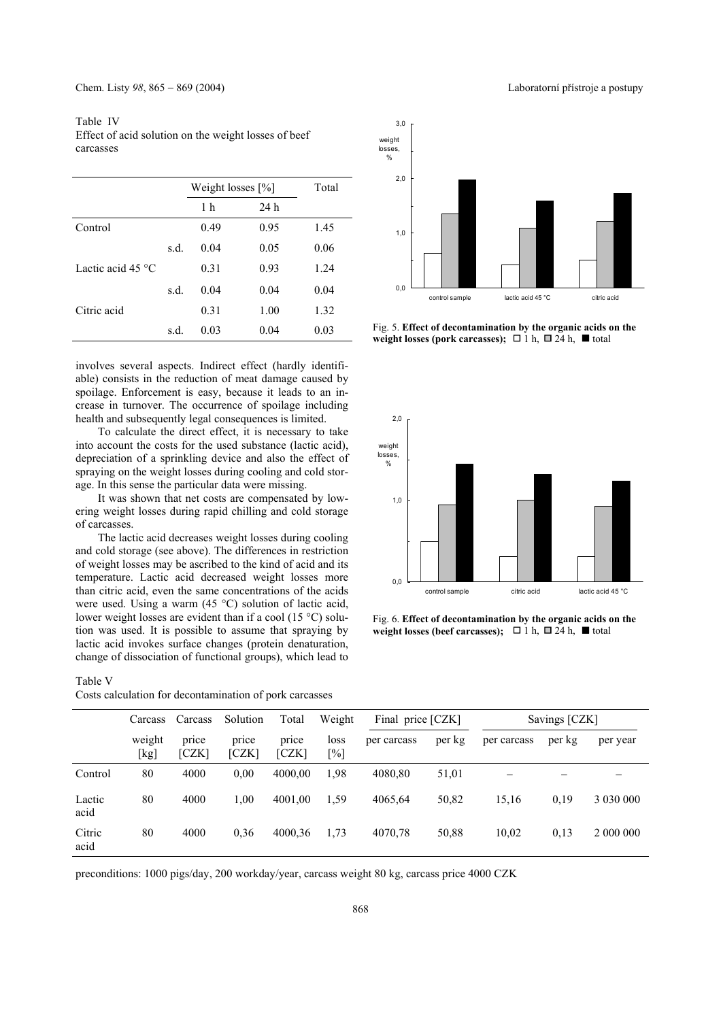Table IV Effect of acid solution on the weight losses of beef carcasses

|                            |      | Weight losses $[\%]$ | Total |      |
|----------------------------|------|----------------------|-------|------|
|                            |      | 1 <sub>h</sub>       | 24 h  |      |
| Control                    |      | 0.49                 | 0.95  | 1.45 |
|                            | s.d. | 0.04                 | 0.05  | 0.06 |
| Lactic acid 45 $\degree$ C |      | 0.31                 | 0.93  | 1.24 |
|                            | s.d. | 0.04                 | 0.04  | 0.04 |
| Citric acid                |      | 0.31                 | 1.00  | 1.32 |
|                            | s.d. | 0.03                 | 0.04  | 0.03 |
|                            |      |                      |       |      |

involves several aspects. Indirect effect (hardly identifiable) consists in the reduction of meat damage caused by spoilage. Enforcement is easy, because it leads to an increase in turnover. The occurrence of spoilage including health and subsequently legal consequences is limited.

To calculate the direct effect, it is necessary to take into account the costs for the used substance (lactic acid), depreciation of a sprinkling device and also the effect of spraying on the weight losses during cooling and cold storage. In this sense the particular data were missing.

It was shown that net costs are compensated by lowering weight losses during rapid chilling and cold storage of carcasses.

The lactic acid decreases weight losses during cooling and cold storage (see above). The differences in restriction of weight losses may be ascribed to the kind of acid and its temperature. Lactic acid decreased weight losses more than citric acid, even the same concentrations of the acids were used. Using a warm (45 °C) solution of lactic acid, lower weight losses are evident than if a cool (15 °C) solution was used. It is possible to assume that spraying by lactic acid invokes surface changes (protein denaturation, change of dissociation of functional groups), which lead to

Table V

|                | Costs calculation for decontamination of pork carcasses |                |                |                |                |                   |        |             |               |           |  |  |
|----------------|---------------------------------------------------------|----------------|----------------|----------------|----------------|-------------------|--------|-------------|---------------|-----------|--|--|
|                | Carcass                                                 | Carcass        | Solution       | Total          | Weight         | Final price [CZK] |        |             | Savings [CZK] |           |  |  |
|                | weight<br>[kg]                                          | price<br>[CZK] | price<br>[CZK] | price<br>[CZK] | loss<br>$[\%]$ | per carcass       | per kg | per carcass | per kg        | per year  |  |  |
| Control        | 80                                                      | 4000           | 0.00           | 4000.00        | 1,98           | 4080.80           | 51,01  |             |               |           |  |  |
| Lactic<br>acid | 80                                                      | 4000           | 1.00           | 4001.00        | 1.59           | 4065,64           | 50,82  | 15,16       | 0.19          |           |  |  |
| Citric<br>acid | 80                                                      | 4000           | 0.36           | 4000,36        | 1.73           | 4070,78           | 50,88  | 10,02       | 0,13          | 2 000 000 |  |  |

preconditions: 1000 pigs/day, 200 workday/year, carcass weight 80 kg, carcass price 4000 CZK



Fig. 5. **Effect of decontamination by the organic acids on the weight losses (pork carcasses);**  $\Box$  1 h,  $\Box$  24 h,  $\Box$  total



Fig. 6. **Effect of decontamination by the organic acids on the weight losses (beef carcasses);**  $\Box$  1 h,  $\Box$  24 h,  $\blacksquare$  total